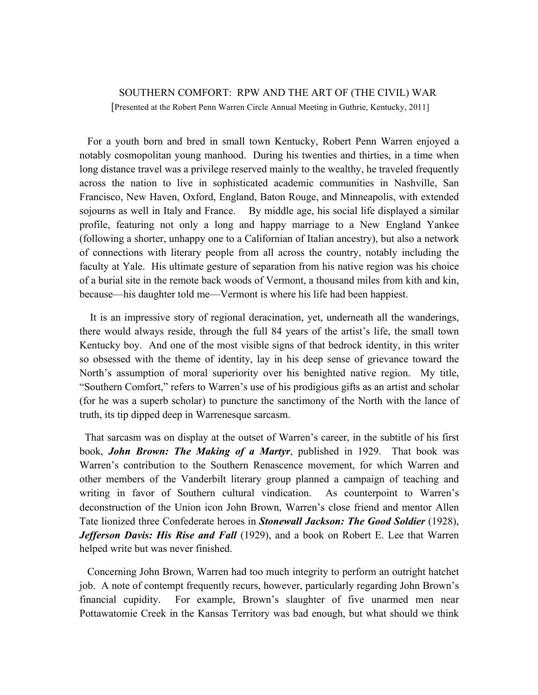## SOUTHERN COMFORT: RPW AND THE ART OF (THE CIVIL) WAR [Presented at the Robert Penn Warren Circle Annual Meeting in Guthrie, Kentucky, 2011]

 For a youth born and bred in small town Kentucky, Robert Penn Warren enjoyed a notably cosmopolitan young manhood. During his twenties and thirties, in a time when long distance travel was a privilege reserved mainly to the wealthy, he traveled frequently across the nation to live in sophisticated academic communities in Nashville, San Francisco, New Haven, Oxford, England, Baton Rouge, and Minneapolis, with extended sojourns as well in Italy and France. By middle age, his social life displayed a similar profile, featuring not only a long and happy marriage to a New England Yankee (following a shorter, unhappy one to a Californian of Italian ancestry), but also a network of connections with literary people from all across the country, notably including the faculty at Yale. His ultimate gesture of separation from his native region was his choice of a burial site in the remote back woods of Vermont, a thousand miles from kith and kin, because—his daughter told me—Vermont is where his life had been happiest.

 It is an impressive story of regional deracination, yet, underneath all the wanderings, there would always reside, through the full 84 years of the artist's life, the small town Kentucky boy. And one of the most visible signs of that bedrock identity, in this writer so obsessed with the theme of identity, lay in his deep sense of grievance toward the North's assumption of moral superiority over his benighted native region. My title, "Southern Comfort," refers to Warren's use of his prodigious gifts as an artist and scholar (for he was a superb scholar) to puncture the sanctimony of the North with the lance of truth, its tip dipped deep in Warrenesque sarcasm.

 That sarcasm was on display at the outset of Warren's career, in the subtitle of his first book, *John Brown: The Making of a Martyr*, published in 1929. That book was Warren's contribution to the Southern Renascence movement, for which Warren and other members of the Vanderbilt literary group planned a campaign of teaching and writing in favor of Southern cultural vindication. As counterpoint to Warren's deconstruction of the Union icon John Brown, Warren's close friend and mentor Allen Tate lionized three Confederate heroes in *Stonewall Jackson: The Good Soldier* (1928), *Jefferson Davis: His Rise and Fall* (1929), and a book on Robert E. Lee that Warren helped write but was never finished.

 Concerning John Brown, Warren had too much integrity to perform an outright hatchet job. A note of contempt frequently recurs, however, particularly regarding John Brown's financial cupidity. For example, Brown's slaughter of five unarmed men near Pottawatomie Creek in the Kansas Territory was bad enough, but what should we think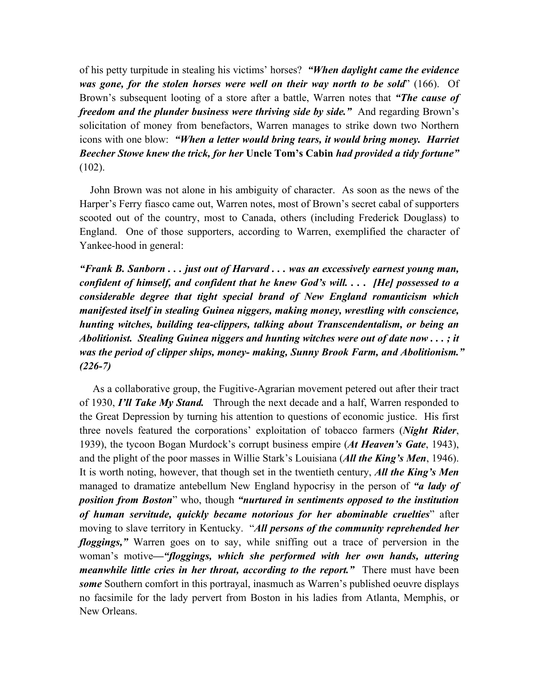of his petty turpitude in stealing his victims' horses? *"When daylight came the evidence was gone, for the stolen horses were well on their way north to be sold*" (166). Of Brown's subsequent looting of a store after a battle, Warren notes that *"The cause of freedom and the plunder business were thriving side by side."* And regarding Brown's solicitation of money from benefactors, Warren manages to strike down two Northern icons with one blow: *"When a letter would bring tears, it would bring money. Harriet Beecher Stowe knew the trick, for her* **Uncle Tom's Cabin** *had provided a tidy fortune"*   $(102)$ .

 John Brown was not alone in his ambiguity of character. As soon as the news of the Harper's Ferry fiasco came out, Warren notes, most of Brown's secret cabal of supporters scooted out of the country, most to Canada, others (including Frederick Douglass) to England. One of those supporters, according to Warren, exemplified the character of Yankee-hood in general:

*"Frank B. Sanborn . . . just out of Harvard . . . was an excessively earnest young man, confident of himself, and confident that he knew God's will. . . . [He] possessed to a considerable degree that tight special brand of New England romanticism which manifested itself in stealing Guinea niggers, making money, wrestling with conscience, hunting witches, building tea-clippers, talking about Transcendentalism, or being an Abolitionist. Stealing Guinea niggers and hunting witches were out of date now . . . ; it was the period of clipper ships, money- making, Sunny Brook Farm, and Abolitionism." (226-7)* 

 As a collaborative group, the Fugitive-Agrarian movement petered out after their tract of 1930, *I'll Take My Stand.* Through the next decade and a half, Warren responded to the Great Depression by turning his attention to questions of economic justice. His first three novels featured the corporations' exploitation of tobacco farmers (*Night Rider*, 1939), the tycoon Bogan Murdock's corrupt business empire (*At Heaven's Gate*, 1943), and the plight of the poor masses in Willie Stark's Louisiana (*All the King's Men*, 1946). It is worth noting, however, that though set in the twentieth century, *All the King's Men* managed to dramatize antebellum New England hypocrisy in the person of *"a lady of position from Boston*" who, though *"nurtured in sentiments opposed to the institution of human servitude, quickly became notorious for her abominable cruelties*" after moving to slave territory in Kentucky. "*All persons of the community reprehended her floggings,"* Warren goes on to say, while sniffing out a trace of perversion in the woman's motive*—"floggings, which she performed with her own hands, uttering meanwhile little cries in her throat, according to the report."* There must have been *some* Southern comfort in this portrayal, inasmuch as Warren's published oeuvre displays no facsimile for the lady pervert from Boston in his ladies from Atlanta, Memphis, or New Orleans.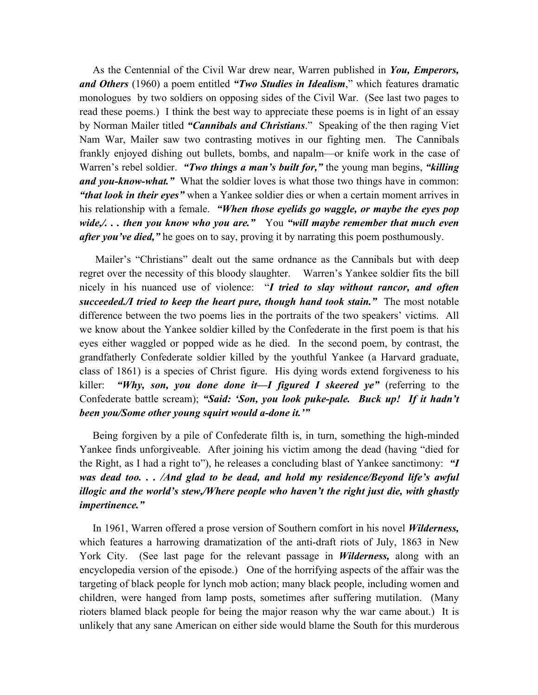As the Centennial of the Civil War drew near, Warren published in *You, Emperors, and Others* (1960) a poem entitled *"Two Studies in Idealism*," which features dramatic monologues by two soldiers on opposing sides of the Civil War. (See last two pages to read these poems.) I think the best way to appreciate these poems is in light of an essay by Norman Mailer titled *"Cannibals and Christians*." Speaking of the then raging Viet Nam War, Mailer saw two contrasting motives in our fighting men. The Cannibals frankly enjoyed dishing out bullets, bombs, and napalm—or knife work in the case of Warren's rebel soldier. *"Two things a man's built for,"* the young man begins, *"killing and you-know-what."* What the soldier loves is what those two things have in common: *"that look in their eyes"* when a Yankee soldier dies or when a certain moment arrives in his relationship with a female. *"When those eyelids go waggle, or maybe the eyes pop wide,/. . . then you know who you are."* You *"will maybe remember that much even after you've died,"* he goes on to say, proving it by narrating this poem posthumously.

 Mailer's "Christians" dealt out the same ordnance as the Cannibals but with deep regret over the necessity of this bloody slaughter. Warren's Yankee soldier fits the bill nicely in his nuanced use of violence: "*I tried to slay without rancor, and often succeeded./I tried to keep the heart pure, though hand took stain."* The most notable difference between the two poems lies in the portraits of the two speakers' victims. All we know about the Yankee soldier killed by the Confederate in the first poem is that his eyes either waggled or popped wide as he died. In the second poem, by contrast, the grandfatherly Confederate soldier killed by the youthful Yankee (a Harvard graduate, class of 1861) is a species of Christ figure. His dying words extend forgiveness to his killer: *"Why, son, you done done it—I figured I skeered ye"* (referring to the Confederate battle scream); *"Said: 'Son, you look puke-pale. Buck up! If it hadn't been you/Some other young squirt would a-done it.'"*

 Being forgiven by a pile of Confederate filth is, in turn, something the high-minded Yankee finds unforgiveable. After joining his victim among the dead (having "died for the Right, as I had a right to"), he releases a concluding blast of Yankee sanctimony: *"I was dead too. . . /And glad to be dead, and hold my residence/Beyond life's awful illogic and the world's stew,/Where people who haven't the right just die, with ghastly impertinence."*

 In 1961, Warren offered a prose version of Southern comfort in his novel *Wilderness,*  which features a harrowing dramatization of the anti-draft riots of July, 1863 in New York City. (See last page for the relevant passage in *Wilderness,* along with an encyclopedia version of the episode.) One of the horrifying aspects of the affair was the targeting of black people for lynch mob action; many black people, including women and children, were hanged from lamp posts, sometimes after suffering mutilation. (Many rioters blamed black people for being the major reason why the war came about.) It is unlikely that any sane American on either side would blame the South for this murderous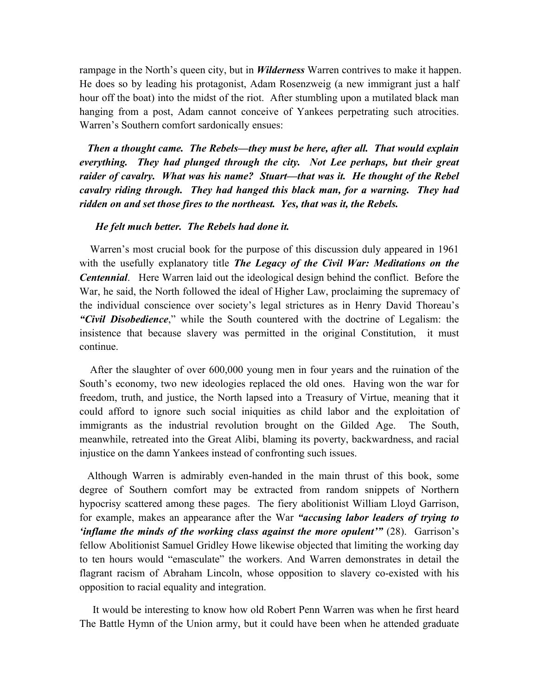rampage in the North's queen city, but in *Wilderness* Warren contrives to make it happen. He does so by leading his protagonist, Adam Rosenzweig (a new immigrant just a half hour off the boat) into the midst of the riot. After stumbling upon a mutilated black man hanging from a post, Adam cannot conceive of Yankees perpetrating such atrocities. Warren's Southern comfort sardonically ensues:

 *Then a thought came. The Rebels—they must be here, after all. That would explain everything. They had plunged through the city. Not Lee perhaps, but their great raider of cavalry. What was his name? Stuart—that was it. He thought of the Rebel cavalry riding through. They had hanged this black man, for a warning. They had ridden on and set those fires to the northeast. Yes, that was it, the Rebels.*

## *He felt much better. The Rebels had done it.*

 Warren's most crucial book for the purpose of this discussion duly appeared in 1961 with the usefully explanatory title *The Legacy of the Civil War: Meditations on the Centennial*. Here Warren laid out the ideological design behind the conflict. Before the War, he said, the North followed the ideal of Higher Law, proclaiming the supremacy of the individual conscience over society's legal strictures as in Henry David Thoreau's *"Civil Disobedience*," while the South countered with the doctrine of Legalism: the insistence that because slavery was permitted in the original Constitution, it must continue.

 After the slaughter of over 600,000 young men in four years and the ruination of the South's economy, two new ideologies replaced the old ones. Having won the war for freedom, truth, and justice, the North lapsed into a Treasury of Virtue, meaning that it could afford to ignore such social iniquities as child labor and the exploitation of immigrants as the industrial revolution brought on the Gilded Age. The South, meanwhile, retreated into the Great Alibi, blaming its poverty, backwardness, and racial injustice on the damn Yankees instead of confronting such issues.

 Although Warren is admirably even-handed in the main thrust of this book, some degree of Southern comfort may be extracted from random snippets of Northern hypocrisy scattered among these pages. The fiery abolitionist William Lloyd Garrison, for example, makes an appearance after the War *"accusing labor leaders of trying to 'inflame the minds of the working class against the more opulent'"* (28). Garrison's fellow Abolitionist Samuel Gridley Howe likewise objected that limiting the working day to ten hours would "emasculate" the workers. And Warren demonstrates in detail the flagrant racism of Abraham Lincoln, whose opposition to slavery co-existed with his opposition to racial equality and integration.

 It would be interesting to know how old Robert Penn Warren was when he first heard The Battle Hymn of the Union army, but it could have been when he attended graduate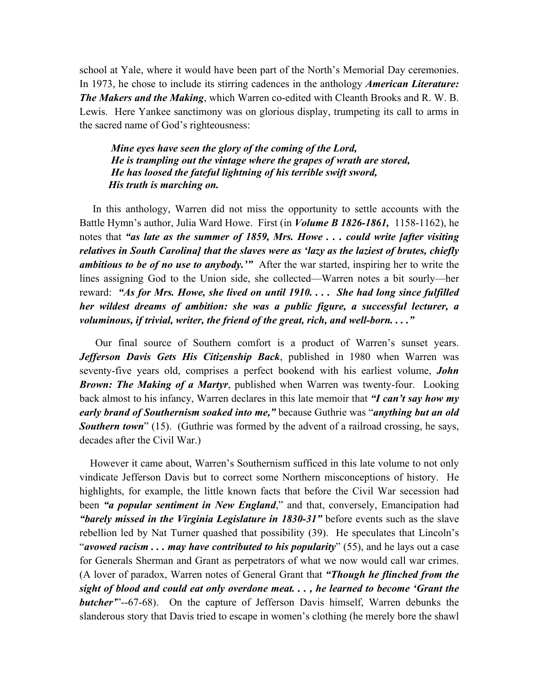school at Yale, where it would have been part of the North's Memorial Day ceremonies. In 1973, he chose to include its stirring cadences in the anthology *American Literature: The Makers and the Making*, which Warren co-edited with Cleanth Brooks and R. W. B. Lewis. Here Yankee sanctimony was on glorious display, trumpeting its call to arms in the sacred name of God's righteousness:

*Mine eyes have seen the glory of the coming of the Lord, He is trampling out the vintage where the grapes of wrath are stored, He has loosed the fateful lightning of his terrible swift sword, His truth is marching on.* 

 In this anthology, Warren did not miss the opportunity to settle accounts with the Battle Hymn's author, Julia Ward Howe. First (in *Volume B 1826-1861,* 1158-1162), he notes that *"as late as the summer of 1859, Mrs. Howe . . . could write [after visiting relatives in South Carolina] that the slaves were as 'lazy as the laziest of brutes, chiefly ambitious to be of no use to anybody.'"* After the war started, inspiring her to write the lines assigning God to the Union side, she collected—Warren notes a bit sourly—her reward: *"As for Mrs. Howe, she lived on until 1910. . . . She had long since fulfilled her wildest dreams of ambition: she was a public figure, a successful lecturer, a voluminous, if trivial, writer, the friend of the great, rich, and well-born. . . ."*

 Our final source of Southern comfort is a product of Warren's sunset years. *Jefferson Davis Gets His Citizenship Back*, published in 1980 when Warren was seventy-five years old, comprises a perfect bookend with his earliest volume, *John Brown: The Making of a Martyr*, published when Warren was twenty-four. Looking back almost to his infancy, Warren declares in this late memoir that *"I can't say how my early brand of Southernism soaked into me,"* because Guthrie was "*anything but an old*  **Southern town**" (15). (Guthrie was formed by the advent of a railroad crossing, he says, decades after the Civil War.)

 However it came about, Warren's Southernism sufficed in this late volume to not only vindicate Jefferson Davis but to correct some Northern misconceptions of history. He highlights, for example, the little known facts that before the Civil War secession had been *"a popular sentiment in New England*," and that, conversely, Emancipation had *"barely missed in the Virginia Legislature in 1830-31"* before events such as the slave rebellion led by Nat Turner quashed that possibility (39). He speculates that Lincoln's "*avowed racism . . . may have contributed to his popularity*" (55), and he lays out a case for Generals Sherman and Grant as perpetrators of what we now would call war crimes. (A lover of paradox, Warren notes of General Grant that *"Though he flinched from the sight of blood and could eat only overdone meat. . . , he learned to become 'Grant the butcher'*"--67-68). On the capture of Jefferson Davis himself, Warren debunks the slanderous story that Davis tried to escape in women's clothing (he merely bore the shawl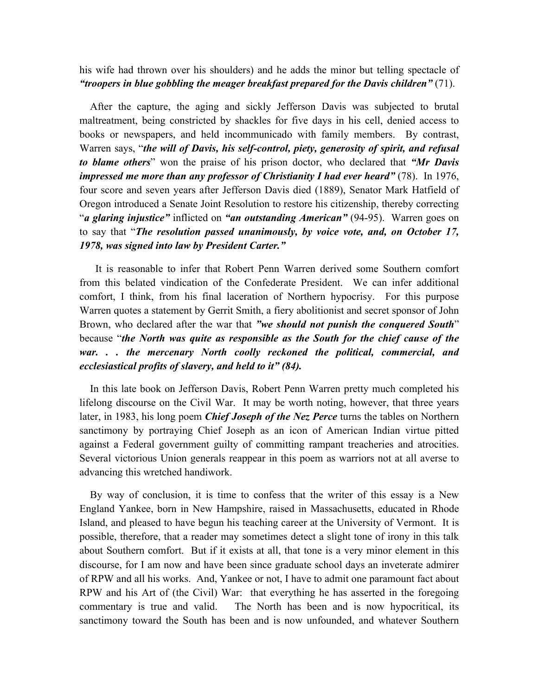his wife had thrown over his shoulders) and he adds the minor but telling spectacle of *"troopers in blue gobbling the meager breakfast prepared for the Davis children"* (71).

 After the capture, the aging and sickly Jefferson Davis was subjected to brutal maltreatment, being constricted by shackles for five days in his cell, denied access to books or newspapers, and held incommunicado with family members. By contrast, Warren says, "*the will of Davis, his self-control, piety, generosity of spirit, and refusal to blame others*" won the praise of his prison doctor, who declared that *"Mr Davis impressed me more than any professor of Christianity I had ever heard"* (78). In 1976, four score and seven years after Jefferson Davis died (1889), Senator Mark Hatfield of Oregon introduced a Senate Joint Resolution to restore his citizenship, thereby correcting "*a glaring injustice"* inflicted on *"an outstanding American"* (94-95). Warren goes on to say that "*The resolution passed unanimously, by voice vote, and, on October 17, 1978, was signed into law by President Carter."* 

 It is reasonable to infer that Robert Penn Warren derived some Southern comfort from this belated vindication of the Confederate President. We can infer additional comfort, I think, from his final laceration of Northern hypocrisy. For this purpose Warren quotes a statement by Gerrit Smith, a fiery abolitionist and secret sponsor of John Brown, who declared after the war that *"we should not punish the conquered South*" because "*the North was quite as responsible as the South for the chief cause of the war. . . the mercenary North coolly reckoned the political, commercial, and ecclesiastical profits of slavery, and held to it" (84).*

 In this late book on Jefferson Davis, Robert Penn Warren pretty much completed his lifelong discourse on the Civil War. It may be worth noting, however, that three years later, in 1983, his long poem *Chief Joseph of the Nez Perce* turns the tables on Northern sanctimony by portraying Chief Joseph as an icon of American Indian virtue pitted against a Federal government guilty of committing rampant treacheries and atrocities. Several victorious Union generals reappear in this poem as warriors not at all averse to advancing this wretched handiwork.

 By way of conclusion, it is time to confess that the writer of this essay is a New England Yankee, born in New Hampshire, raised in Massachusetts, educated in Rhode Island, and pleased to have begun his teaching career at the University of Vermont. It is possible, therefore, that a reader may sometimes detect a slight tone of irony in this talk about Southern comfort. But if it exists at all, that tone is a very minor element in this discourse, for I am now and have been since graduate school days an inveterate admirer of RPW and all his works. And, Yankee or not, I have to admit one paramount fact about RPW and his Art of (the Civil) War: that everything he has asserted in the foregoing commentary is true and valid. The North has been and is now hypocritical, its sanctimony toward the South has been and is now unfounded, and whatever Southern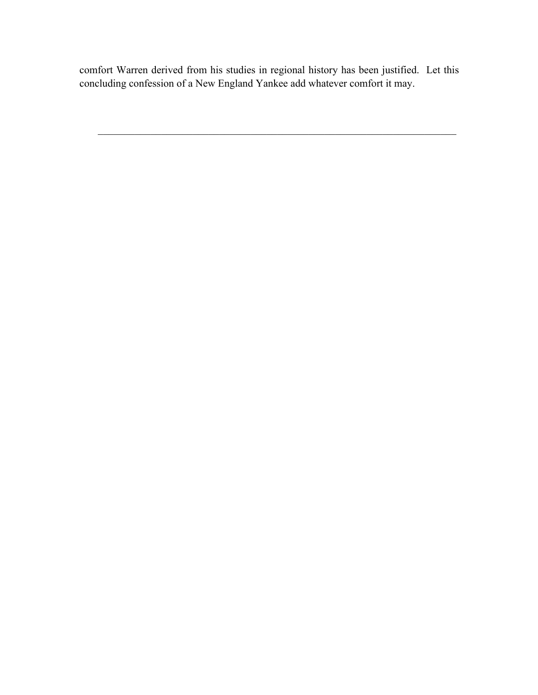comfort Warren derived from his studies in regional history has been justified. Let this concluding confession of a New England Yankee add whatever comfort it may.

 $\mathcal{L}_\text{max}$  , and the contribution of the contribution of the contribution of the contribution of the contribution of the contribution of the contribution of the contribution of the contribution of the contribution of t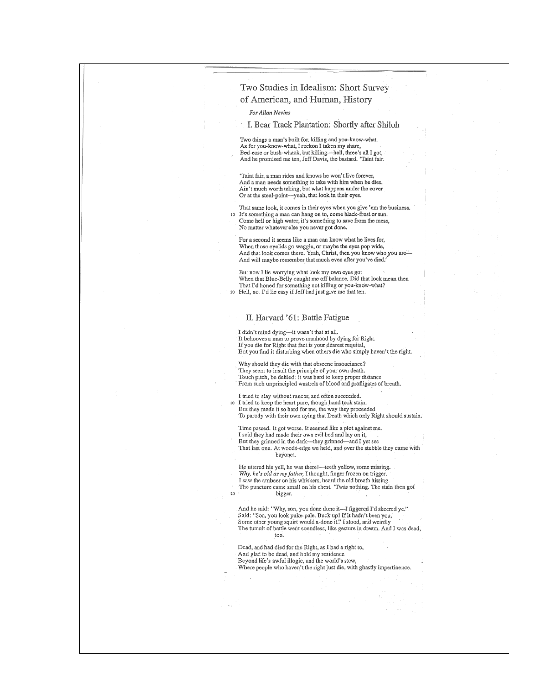| Two Studies in Idealism: Short Survey                                                                                                                                                                                                                                                             |
|---------------------------------------------------------------------------------------------------------------------------------------------------------------------------------------------------------------------------------------------------------------------------------------------------|
| of American, and Human, History                                                                                                                                                                                                                                                                   |
| For Allan Nevins                                                                                                                                                                                                                                                                                  |
| I. Bear Track Plantation: Shortly after Shiloh                                                                                                                                                                                                                                                    |
| Two things a man's built for, killing and you-know-what.<br>As for you-know-what, I reckon I taken my share,<br>Bed-ease or bush-whack, but killing-hell, three's all I got,<br>And he promised me ten, Jeff Davis, the bastard. 'Taint fair.                                                     |
| 'Taint fair, a man rides and knows he won't live forever,<br>And a man needs something to take with him when he dies.<br>Ain't much worth taking, but what happens under the cover<br>Or at the steel-point-yeah, that look in their eyes.                                                        |
| That same look, it comes in their eyes when you give 'em the business.<br>It's something a man can hang on to, come black-frost or sun.<br>10<br>Come hell or high water, it's something to save from the mess,<br>No matter whatever else you never got done.                                    |
| For a second it seems like a man can know what he lives for,<br>When those eyelids go waggle, or maybe the eyes pop wide,<br>And that look comes there. Yeah, Christ, then you know who you are—<br>And will maybe remember that much even after you've died.                                     |
| But now I lie worrying what look my own eyes got<br>When that Blue-Belly caught me off balance. Did that look mean then<br>That I'd honed for something not killing or you-know-what?<br>Hell, no. I'd lie easy if Jeff had just give me that ten.<br>20                                          |
|                                                                                                                                                                                                                                                                                                   |
| II. Harvard '61: Battle Fatigue                                                                                                                                                                                                                                                                   |
| I didn't mind dying—it wasn't that at all.<br>It behooves a man to prove manhood by dying for Right.<br>If you die for Right that fact is your dearest requital,<br>But you find it disturbing when others die who simply haven't the right.                                                      |
| Why should they die with that obscene insouciance?<br>They seem to insult the principle of your own death.<br>Touch pitch, be defiled: it was hard to keep proper distance<br>From such unprincipled wastrels of blood and profligates of breath.                                                 |
| I tried to slay without rancor, and often succeeded.<br>I tried to keep the heart pure, though hand took stain.<br>10<br>But they made it so hard for me, the way they proceeded<br>To parody with their own dying that Death which only Right should sustain.                                    |
| Time passed. It got worse. It seemed like a plot against me.<br>I said they had made their own evil bed and lay on it,<br>But they grinned in the dark—they grinned—and I yet see<br>That last one. At woods-edge we held, and over the stubble they came with<br>bayonet.                        |
| He uttered his yell, he was there!—teeth yellow, some missing.<br>Why, he's old as my father, I thought, finger frozen on trigger.<br>I saw the ambeer on his whiskers, heard the old breath hissing.<br>The puncture came small on his chest. 'Twas nothing. The stain then got<br>bigger.<br>20 |
| And he said: "Why, son, you done done it-I figgered I'd skeered ye."<br>Said: "Son, you look puke-pale. Buck up! If it hadn't been you,<br>Some other young squirt would a-done it." I stood, and weirdly<br>The tumult of battle went soundless, like gesture in dream. And I was dead,          |
| Dead, and had died for the Right, as I had a right to,<br>And glad to be dead, and hold my residence<br>Beyond life's awful illogic, and the world's stew,<br>Where people who haven't the right just die, with ghastly impertinence.                                                             |
|                                                                                                                                                                                                                                                                                                   |
|                                                                                                                                                                                                                                                                                                   |
|                                                                                                                                                                                                                                                                                                   |
|                                                                                                                                                                                                                                                                                                   |
|                                                                                                                                                                                                                                                                                                   |